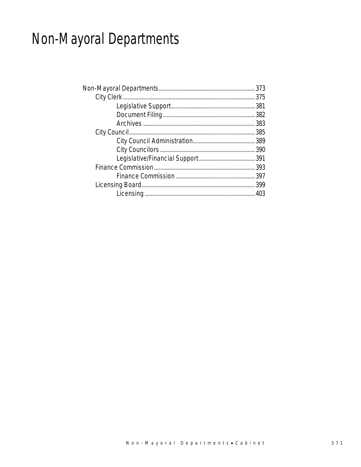# Non-Mayoral Departments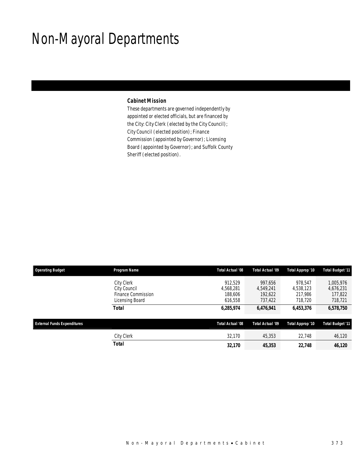## Non-Mayoral Departments

### *Cabinet Mission*

These departments are governed independently by appointed or elected officials, but are financed by the City: City Clerk (elected by the City Council); City Council (elected position); Finance Commission (appointed by Governor); Licensing Board (appointed by Governor); and Suffolk County Sheriff (elected position).

| <b>Operating Budget</b>            | Program Name                                                        | Total Actual '08                           | Total Actual '09                           | Total Approp '10                           | <b>Total Budget '11</b>                      |
|------------------------------------|---------------------------------------------------------------------|--------------------------------------------|--------------------------------------------|--------------------------------------------|----------------------------------------------|
|                                    | City Clerk<br>City Council<br>Finance Commission<br>Licensing Board | 912.529<br>4.568.281<br>188,606<br>616,558 | 997.656<br>4,549,241<br>192,622<br>737,422 | 978.547<br>4,538,123<br>217.986<br>718,720 | 1,005,976<br>4,676,231<br>177,822<br>718,721 |
|                                    | <b>Total</b>                                                        | 6,285,974                                  | 6,476,941                                  | 6,453,376                                  | 6,578,750                                    |
| <b>External Funds Expenditures</b> |                                                                     | Total Actual '08                           | Total Actual '09                           | Total Approp '10                           | <b>Total Budget '11</b>                      |
|                                    | City Clerk                                                          | 32,170                                     | 45,353                                     | 22,748                                     | 46,120                                       |
|                                    | <b>Total</b>                                                        | 32,170                                     | 45,353                                     | 22,748                                     | 46,120                                       |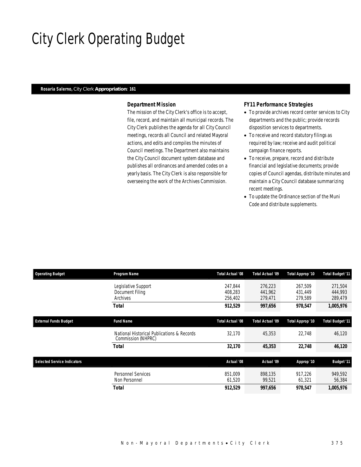## City Clerk Operating Budget

#### *Rosaria Salerno, City Clerk Appropriation: 161*

### *Department Mission*

The mission of the City Clerk's office is to accept, file, record, and maintain all municipal records. The City Clerk publishes the agenda for all City Council meetings, records all Council and related Mayoral actions, and edits and compiles the minutes of Council meetings. The Department also maintains the City Council document system database and publishes all ordinances and amended codes on a yearly basis. The City Clerk is also responsible for overseeing the work of the Archives Commission.

#### *FY11 Performance Strategies*

- To provide archives record center services to City departments and the public; provide records disposition services to departments.
- To receive and record statutory filings as required by law; receive and audit political campaign finance reports.
- To receive, prepare, record and distribute financial and legislative documents; provide copies of Council agendas, distribute minutes and maintain a City Council database summarizing recent meetings.
- To update the Ordinance section of the Muni Code and distribute supplements.

| <b>Operating Budget</b>            | Program Name                                                     | Total Actual '08              | Total Actual '09              | Total Approp '10              | <b>Total Budget '11</b>       |
|------------------------------------|------------------------------------------------------------------|-------------------------------|-------------------------------|-------------------------------|-------------------------------|
|                                    | Legislative Support<br>Document Filing<br>Archives               | 247.844<br>408.283<br>256,402 | 276.223<br>441.962<br>279,471 | 267.509<br>431,449<br>279,589 | 271,504<br>444,993<br>289,479 |
|                                    | Total                                                            | 912,529                       | 997,656                       | 978,547                       | 1,005,976                     |
| <b>External Funds Budget</b>       | <b>Fund Name</b>                                                 | Total Actual '08              | Total Actual '09              | Total Approp '10              | <b>Total Budget '11</b>       |
|                                    | National Historical Publications & Records<br>Commission (NHPRC) | 32,170                        | 45,353                        | 22.748                        | 46,120                        |
|                                    | Total                                                            | 32,170                        | 45,353                        | 22,748                        | 46,120                        |
| <b>Selected Service Indicators</b> |                                                                  | Actual '08                    | Actual '09                    | Approp '10                    | <b>Budget '11</b>             |
|                                    | <b>Personnel Services</b><br>Non Personnel                       | 851.009<br>61,520             | 898,135<br>99,521             | 917.226<br>61,321             | 949.592<br>56,384             |
|                                    | Total                                                            | 912.529                       | 997.656                       | 978.547                       | 1,005,976                     |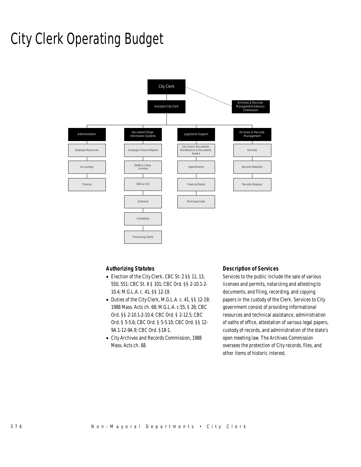### City Clerk Operating Budget



#### *Authorizing Statutes*

- Election of the City Clerk, CBC St. 2 §§ 11, 13, 550, 551; CBC St. 6 § 101; CBC Ord. §§ 2-10.1-2- 10.4; M.G.L.A. c. 41, §§ 12-19.
- Duties of the City Clerk, M.G.L.A. c. 41, §§ 12-19; 1988 Mass. Acts ch. 68; M.G.L.A. c.55, § 26; CBC Ord. §§ 2-10.1-2-10.4; CBC Ord. § 2-12.5; CBC Ord. § 5-5.6; CBC Ord. § 5-5.10; CBC Ord. §§ 12- 9A.1-12-9A.9; CBC Ord. §18-1.
- City Archives and Records Commission, 1988 Mass. Acts ch. 68.

#### *Description of Services*

Services to the public include the sale of various licenses and permits, notarizing and attesting to documents, and filing, recording, and copying papers in the custody of the Clerk. Services to City government consist of providing informational resources and technical assistance, administration of oaths of office, attestation of various legal papers, custody of records, and administration of the state's open meeting law. The Archives Commission oversees the protection of City records, files, and other items of historic interest.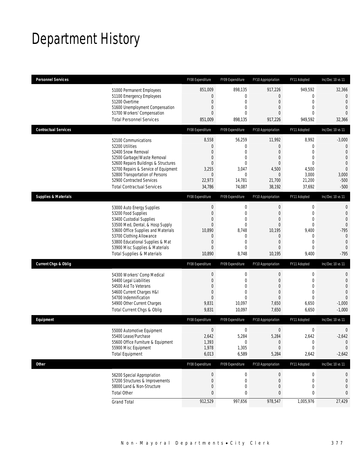# Department History

| <b>Personnel Services</b>       |                                                                                                                                                                                                                                                                                                      | FY08 Expenditure                                                                               | FY09 Expenditure                                                                                                | FY10 Appropriation                                                                            | FY11 Adopted                                                                                                                    | Inc/Dec 10 vs 11                                                                                                                 |
|---------------------------------|------------------------------------------------------------------------------------------------------------------------------------------------------------------------------------------------------------------------------------------------------------------------------------------------------|------------------------------------------------------------------------------------------------|-----------------------------------------------------------------------------------------------------------------|-----------------------------------------------------------------------------------------------|---------------------------------------------------------------------------------------------------------------------------------|----------------------------------------------------------------------------------------------------------------------------------|
|                                 | 51000 Permanent Employees<br>51100 Emergency Employees<br>51200 Overtime<br>51600 Unemployment Compensation<br>51700 Workers' Compensation<br><b>Total Personnel Services</b>                                                                                                                        | 851,009<br>0<br>0<br>$\mathbf 0$<br>0<br>851,009                                               | 898,135<br>$\mathbf 0$<br>0<br>0<br>$\mathbf 0$<br>898,135                                                      | 917,226<br>$\overline{0}$<br>$\mathbf 0$<br>$\overline{0}$<br>0<br>917,226                    | 949,592<br>$\boldsymbol{0}$<br>$\mathbf 0$<br>$\mathbf{0}$<br>$\mathbf{0}$<br>949,592                                           | 32,366<br>$\overline{0}$<br>$\mathbf{0}$<br>$\mathbf{0}$<br>$\Omega$<br>32,366                                                   |
| <b>Contractual Services</b>     |                                                                                                                                                                                                                                                                                                      | FY08 Expenditure                                                                               | FY09 Expenditure                                                                                                | FY10 Appropriation                                                                            | FY11 Adopted                                                                                                                    | Inc/Dec 10 vs 11                                                                                                                 |
|                                 | 52100 Communications<br>52200 Utilities<br>52400 Snow Removal<br>52500 Garbage/Waste Removal<br>52600 Repairs Buildings & Structures<br>52700 Repairs & Service of Equipment<br>52800 Transportation of Persons<br>52900 Contracted Services<br><b>Total Contractual Services</b>                    | 8,558<br>$\mathbf 0$<br>0<br>0<br>$\overline{0}$<br>3,255<br>$\mathbf 0$<br>22,973<br>34,786   | 56,259<br>$\mathbf 0$<br>$\mathbf 0$<br>$\mathbf 0$<br>$\mathbf{0}$<br>3,047<br>$\mathbf 0$<br>14,781<br>74,087 | 11,992<br>$\mathbf 0$<br>0<br>0<br>$\overline{0}$<br>4,500<br>$\mathbf 0$<br>21,700<br>38,192 | 8,992<br>$\boldsymbol{0}$<br>$\mathbf{0}$<br>$\mathbf{0}$<br>$\mathbf{0}$<br>4,500<br>3,000<br>21,200<br>37,692                 | $-3,000$<br>$\mathbf 0$<br>$\overline{0}$<br>$\mathbf{0}$<br>$\mathbf 0$<br>$\mathbf{0}$<br>3,000<br>$-500$<br>$-500$            |
| <b>Supplies &amp; Materials</b> |                                                                                                                                                                                                                                                                                                      | FY08 Expenditure                                                                               | FY09 Expenditure                                                                                                | FY10 Appropriation                                                                            | FY11 Adopted                                                                                                                    | Inc/Dec 10 vs 11                                                                                                                 |
|                                 | 53000 Auto Energy Supplies<br>53200 Food Supplies<br>53400 Custodial Supplies<br>53500 Med, Dental, & Hosp Supply<br>53600 Office Supplies and Materials<br>53700 Clothing Allowance<br>53800 Educational Supplies & Mat<br>53900 Misc Supplies & Materials<br><b>Total Supplies &amp; Materials</b> | $\mathbf 0$<br>$\mathbf 0$<br>0<br>$\overline{0}$<br>10,890<br>0<br>$\mathbf 0$<br>0<br>10,890 | $\mathbf 0$<br>$\mathbf 0$<br>0<br>0<br>8,748<br>0<br>$\mathbf{0}$<br>$\mathbf 0$<br>8,748                      | $\mathbf 0$<br>$\mathbf 0$<br>0<br>0<br>10,195<br>0<br>$\mathbf 0$<br>0<br>10,195             | $\boldsymbol{0}$<br>$\mathbf 0$<br>$\mathbf{0}$<br>$\mathbf{0}$<br>9,400<br>$\mathbf 0$<br>$\mathbf 0$<br>$\mathbf{0}$<br>9,400 | $\mathbf{0}$<br>$\theta$<br>$\overline{0}$<br>$\overline{0}$<br>$-795$<br>$\mathbf{0}$<br>$\mathbf{0}$<br>$\mathbf{0}$<br>$-795$ |
| <b>Current Chgs &amp; Oblig</b> |                                                                                                                                                                                                                                                                                                      | FY08 Expenditure                                                                               | FY09 Expenditure                                                                                                | FY10 Appropriation                                                                            | FY11 Adopted                                                                                                                    | Inc/Dec 10 vs 11                                                                                                                 |
|                                 | 54300 Workers' Comp Medical<br>54400 Legal Liabilities<br>54500 Aid To Veterans<br>54600 Current Charges H&I<br>54700 Indemnification<br>54900 Other Current Charges<br>Total Current Chgs & Oblig                                                                                                   | $\boldsymbol{0}$<br>0<br>$\mathbf 0$<br>0<br>$\overline{0}$<br>9,831<br>9,831                  | $\mathbf 0$<br>0<br>$\mathbf 0$<br>$\mathbf 0$<br>$\Omega$<br>10,097<br>10,097                                  | $\mathbf 0$<br>0<br>$\overline{0}$<br>0<br>$\overline{0}$<br>7,650<br>7,650                   | $\boldsymbol{0}$<br>$\mathbf 0$<br>$\mathbf{0}$<br>$\mathbf{0}$<br>$\mathbf{0}$<br>6,650<br>6,650                               | $\mathbf{0}$<br>$\mathbf 0$<br>$\overline{0}$<br>$\overline{0}$<br>$\Omega$<br>$-1,000$<br>$-1,000$                              |
| Equipment                       |                                                                                                                                                                                                                                                                                                      | FY08 Expenditure                                                                               | FY09 Expenditure                                                                                                | FY10 Appropriation                                                                            | FY11 Adopted                                                                                                                    | Inc/Dec 10 vs 11                                                                                                                 |
|                                 | 55000 Automotive Equipment<br>55400 Lease/Purchase<br>55600 Office Furniture & Equipment<br>55900 Misc Equipment<br><b>Total Equipment</b>                                                                                                                                                           | $\boldsymbol{0}$<br>2,642<br>1,393<br>1,978<br>6,013                                           | 0<br>5,284<br>0<br>1,305<br>6,589                                                                               | 0<br>5,284<br>0<br>$\overline{0}$<br>5,284                                                    | $\boldsymbol{0}$<br>2,642<br>$\boldsymbol{0}$<br>$\mathbf{0}$<br>2,642                                                          | $\mathbf 0$<br>$-2,642$<br>$\mathbf{0}$<br>$\mathbf 0$<br>$-2,642$                                                               |
| <b>Other</b>                    |                                                                                                                                                                                                                                                                                                      | FY08 Expenditure                                                                               | FY09 Expenditure                                                                                                | FY10 Appropriation                                                                            | FY11 Adopted                                                                                                                    | Inc/Dec 10 vs 11                                                                                                                 |
|                                 | 56200 Special Appropriation<br>57200 Structures & Improvements<br>58000 Land & Non-Structure<br><b>Total Other</b>                                                                                                                                                                                   | $\boldsymbol{0}$<br>$\bf{0}$<br>0<br>$\bf{0}$                                                  | 0<br>0<br>0<br>0                                                                                                | $\mathbf 0$<br>$\mathbf 0$<br>0<br>0                                                          | 0<br>0<br>$\mathbf 0$<br>0                                                                                                      | 0<br>$\mathbf 0$<br>0<br>0                                                                                                       |
|                                 | <b>Grand Total</b>                                                                                                                                                                                                                                                                                   | 912,529                                                                                        | 997,656                                                                                                         | 978,547                                                                                       | 1,005,976                                                                                                                       | 27,429                                                                                                                           |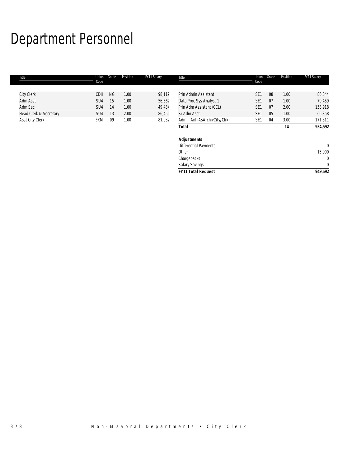# Department Personnel

| Title                  | Union<br>Code   | Grade     | Position | FY11 Salary | Title                         | Union<br>Code   | Grade | Position | FY11 Salary  |
|------------------------|-----------------|-----------|----------|-------------|-------------------------------|-----------------|-------|----------|--------------|
| City Clerk             | CDH             | <b>NG</b> | 1.00     | 98,119      | Prin Admin Assistant          | SE <sub>1</sub> | 08    | 1.00     | 86,844       |
| Adm Asst               | SU <sub>4</sub> | 15        | 1.00     | 56,667      | Data Proc Sys Analyst 1       | SE <sub>1</sub> | 07    | 1.00     | 79,459       |
| Adm Sec                | SU <sub>4</sub> | 14        | 1.00     | 49,434      | Prin Adm Assistant (CCL)      | SE <sub>1</sub> | 07    | 2.00     | 158,918      |
| Head Clerk & Secretary | SU <sub>4</sub> | 13        | 2.00     | 86,450      | Sr Adm Asst                   | SE <sub>1</sub> | 05    | 1.00     | 66,358       |
| Asst City Clerk        | EXM             | 09        | 1.00     | 81,032      | Admin AnI (AsArchivCity/Clrk) | SE <sub>1</sub> | 04    | 3.00     | 171,311      |
|                        |                 |           |          |             | <b>Total</b>                  |                 |       | 14       | 934,592      |
|                        |                 |           |          |             | <b>Adjustments</b>            |                 |       |          |              |
|                        |                 |           |          |             | <b>Differential Payments</b>  |                 |       |          | $\mathbf{0}$ |
|                        |                 |           |          |             | Other                         |                 |       |          | 15,000       |
|                        |                 |           |          |             | Chargebacks                   |                 |       |          | 0            |
|                        |                 |           |          |             | <b>Salary Savings</b>         |                 |       |          | $\mathbf 0$  |
|                        |                 |           |          |             | <b>FY11 Total Request</b>     |                 |       |          | 949,592      |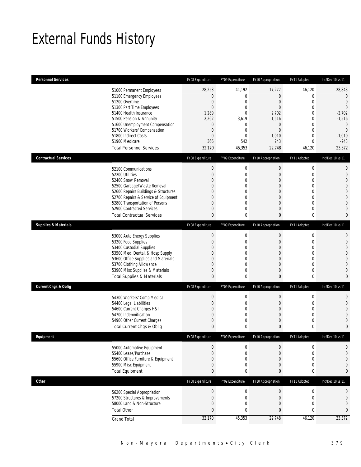## External Funds History

| <b>Personnel Services</b>       |                                                                | FY08 Expenditure                     | FY09 Expenditure                     | FY10 Appropriation              | FY11 Adopted                       | Inc/Dec 10 vs 11            |
|---------------------------------|----------------------------------------------------------------|--------------------------------------|--------------------------------------|---------------------------------|------------------------------------|-----------------------------|
|                                 | 51000 Permanent Employees                                      | 28,253                               | 41.192                               | 17,277                          | 46,120                             | 28,843                      |
|                                 | 51100 Emergency Employees                                      | $\mathbf 0$                          | $\mathbf 0$                          | $\mathbf 0$                     | 0                                  | $\mathbf{0}$                |
|                                 | 51200 Overtime                                                 | $\boldsymbol{0}$                     | $\mathbf 0$                          | $\boldsymbol{0}$                | $\boldsymbol{0}$                   | $\mathbf{0}$                |
|                                 | 51300 Part Time Employees                                      | $\overline{0}$                       | $\mathbf{0}$                         | $\overline{0}$                  | 0                                  | $\overline{0}$              |
|                                 | 51400 Health Insurance                                         | 1,289                                | $\mathbf{0}$                         | 2,702                           | 0                                  | $-2,702$                    |
|                                 | 51500 Pension & Annunity                                       | 2,262                                | 3,619                                | 1,516                           | 0                                  | $-1,516$                    |
|                                 | 51600 Unemployment Compensation<br>51700 Workers' Compensation | $\mathbf 0$<br>$\boldsymbol{0}$      | 0<br>$\mathbf 0$                     | $\mathbf 0$<br>$\mathbf 0$      | 0<br>$\mathbf 0$                   | $\mathbf 0$<br>$\mathbf{0}$ |
|                                 | 51800 Indirect Costs                                           | $\overline{0}$                       | 0                                    | 1,010                           | 0                                  | $-1,010$                    |
|                                 | 51900 Medicare                                                 | 366                                  | 542                                  | 243                             | $\overline{0}$                     | $-243$                      |
|                                 | <b>Total Personnel Services</b>                                | 32,170                               | 45,353                               | 22,748                          | 46,120                             | 23,372                      |
| <b>Contractual Services</b>     |                                                                | FY08 Expenditure                     | FY09 Expenditure                     | FY10 Appropriation              | FY11 Adopted                       | Inc/Dec 10 vs 11            |
|                                 |                                                                |                                      |                                      |                                 |                                    |                             |
|                                 | 52100 Communications<br>52200 Utilities                        | $\boldsymbol{0}$<br>$\boldsymbol{0}$ | $\boldsymbol{0}$<br>$\boldsymbol{0}$ | $\boldsymbol{0}$<br>$\mathbf 0$ | $\boldsymbol{0}$<br>$\overline{0}$ | $\mathbf 0$<br>$\mathbf{0}$ |
|                                 | 52400 Snow Removal                                             | $\Omega$                             | 0                                    | $\overline{0}$                  | 0                                  | $\overline{0}$              |
|                                 | 52500 Garbage/Waste Removal                                    | 0                                    | $\boldsymbol{0}$                     | $\overline{0}$                  | 0                                  | $\overline{0}$              |
|                                 | 52600 Repairs Buildings & Structures                           | $\Omega$                             | 0                                    | 0                               | 0                                  | $\overline{0}$              |
|                                 | 52700 Repairs & Service of Equipment                           | 0                                    | $\boldsymbol{0}$                     | $\mathbf 0$                     | 0                                  | $\overline{0}$              |
|                                 | 52800 Transportation of Persons                                | 0                                    | 0                                    | 0                               | 0                                  | $\overline{0}$              |
|                                 | 52900 Contracted Services                                      | $\overline{0}$                       | 0                                    | $\overline{0}$                  | 0                                  | $\mathbf 0$                 |
|                                 | <b>Total Contractual Services</b>                              | $\pmb{0}$                            | $\pmb{0}$                            | 0                               | 0                                  | $\mathbf 0$                 |
| <b>Supplies &amp; Materials</b> |                                                                | FY08 Expenditure                     | FY09 Expenditure                     | FY10 Appropriation              | FY11 Adopted                       | Inc/Dec 10 vs 11            |
|                                 | 53000 Auto Energy Supplies                                     | $\boldsymbol{0}$                     | $\boldsymbol{0}$                     | $\boldsymbol{0}$                | $\boldsymbol{0}$                   | $\mathbf{0}$                |
|                                 | 53200 Food Supplies                                            | $\boldsymbol{0}$                     | $\mathbf 0$                          | 0                               | 0                                  | $\mathbf{0}$                |
|                                 | 53400 Custodial Supplies                                       | $\Omega$                             | 0                                    | $\overline{0}$                  | 0                                  | $\overline{0}$              |
|                                 | 53500 Med, Dental, & Hosp Supply                               | 0                                    | 0                                    | $\mathbf 0$                     | $\overline{0}$                     | $\overline{0}$              |
|                                 | 53600 Office Supplies and Materials                            | 0                                    | 0                                    | $\Omega$                        | 0                                  | $\overline{0}$              |
|                                 | 53700 Clothing Allowance<br>53900 Misc Supplies & Materials    | $\overline{0}$<br>$\mathbf 0$        | $\boldsymbol{0}$<br>$\boldsymbol{0}$ | $\mathbf 0$<br>$\mathbf 0$      | 0<br>$\overline{0}$                | $\Omega$<br>$\overline{0}$  |
|                                 | <b>Total Supplies &amp; Materials</b>                          | $\pmb{0}$                            | 0                                    | $\mathbf{0}$                    | 0                                  | $\mathbf{0}$                |
|                                 |                                                                |                                      |                                      |                                 |                                    |                             |
| <b>Current Chgs &amp; Oblig</b> |                                                                | FY08 Expenditure                     | FY09 Expenditure                     | FY10 Appropriation              | FY11 Adopted                       | Inc/Dec 10 vs 11            |
|                                 | 54300 Workers' Comp Medical                                    | $\mathbf 0$                          | $\boldsymbol{0}$                     | 0                               | 0                                  | $\mathbf 0$                 |
|                                 | 54400 Legal Liabilities                                        | $\mathbf 0$                          | 0                                    | $\mathbf 0$                     | 0                                  | $\mathbf{0}$                |
|                                 | 54600 Current Charges H&I                                      | $\overline{0}$                       | $\boldsymbol{0}$                     | $\mathbf 0$                     | 0                                  | $\overline{0}$              |
|                                 | 54700 Indemnification<br>54900 Other Current Charges           | $\overline{0}$<br>$\boldsymbol{0}$   | $\mathbf 0$<br>0                     | $\overline{0}$<br>0             | 0<br>0                             | $\bigcap$<br>$\bigcap$      |
|                                 | Total Current Chgs & Oblig                                     | $\mathbf{0}$                         | 0                                    | $\mathbf{0}$                    | 0                                  | $\mathbf 0$                 |
|                                 |                                                                |                                      |                                      |                                 |                                    |                             |
| <b>Fauinment</b>                |                                                                | FY08 Expenditure                     | FY09 Expenditure                     | FY10 Appropriation              | FY11 Adopted                       | Inc/Dec 10 vs 11            |
|                                 | 55000 Automotive Equipment                                     | $\mathbf 0$                          | 0                                    | 0                               | 0                                  | 0                           |
|                                 | 55400 Lease/Purchase                                           | $\overline{0}$                       | 0                                    | $\overline{0}$                  | 0                                  | $\overline{0}$              |
|                                 | 55600 Office Furniture & Equipment                             | $\boldsymbol{0}$                     | $\boldsymbol{0}$                     | 0                               | 0                                  | $\overline{0}$              |
|                                 | 55900 Misc Equipment                                           | $\boldsymbol{0}$                     | $\boldsymbol{0}$                     | 0                               | 0                                  | 0                           |
|                                 | <b>Total Equipment</b>                                         | $\mathbf{0}$                         | 0                                    | 0                               | 0                                  | $\mathbf{0}$                |
| <b>Other</b>                    |                                                                | FY08 Expenditure                     | FY09 Expenditure                     | FY10 Appropriation              | FY11 Adopted                       | Inc/Dec 10 vs 11            |
|                                 | 56200 Special Appropriation                                    | $\boldsymbol{0}$                     | $\boldsymbol{0}$                     | 0                               | $\boldsymbol{0}$                   | $\mathbf 0$                 |
|                                 | 57200 Structures & Improvements                                | $\boldsymbol{0}$                     | $\boldsymbol{0}$                     | $\mathbf 0$                     | $\boldsymbol{0}$                   | $\mathbf 0$                 |
|                                 | 58000 Land & Non-Structure                                     | $\boldsymbol{0}$                     | $\boldsymbol{0}$                     | $\mathbf 0$                     | 0                                  | $\boldsymbol{0}$            |
|                                 | <b>Total Other</b>                                             | $\mathbf{0}$                         | 0                                    | 0                               | 0                                  | $\mathbf{0}$                |
|                                 | <b>Grand Total</b>                                             | 32,170                               | 45,353                               | 22,748                          | 46,120                             | 23,372                      |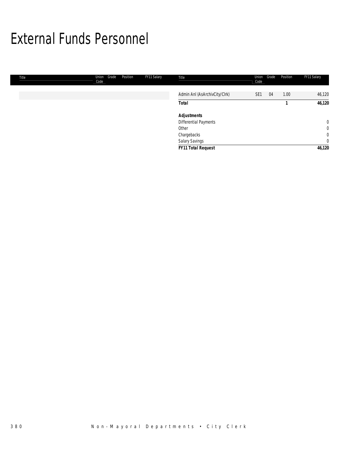### External Funds Personnel

| Title | Grade<br>Union<br>Code | Position | FY11 Salary | Title                         | Union<br>Code   | Grade | Position | FY11 Salary    |
|-------|------------------------|----------|-------------|-------------------------------|-----------------|-------|----------|----------------|
|       |                        |          |             | Admin AnI (AsArchivCity/Clrk) | SE <sub>1</sub> | 04    | 1.00     | 46,120         |
|       |                        |          |             | <b>Total</b>                  |                 |       |          | 46,120         |
|       |                        |          |             | <b>Adjustments</b>            |                 |       |          |                |
|       |                        |          |             | <b>Differential Payments</b>  |                 |       |          | $\mathbf{0}$   |
|       |                        |          |             | Other                         |                 |       |          | $\overline{0}$ |
|       |                        |          |             | Chargebacks                   |                 |       |          | $\overline{0}$ |
|       |                        |          |             | Salary Savings                |                 |       |          | $\overline{0}$ |
|       |                        |          |             | <b>FY11 Total Request</b>     |                 |       |          | 46,120         |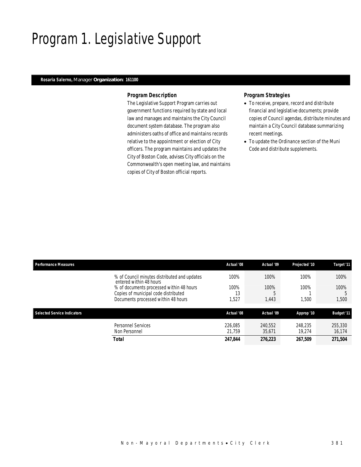## Program 1. Legislative Support

### *Rosaria Salerno, Manager Organization: 161100*

#### *Program Description*

The Legislative Support Program carries out government functions required by state and local law and manages and maintains the City Council document system database. The program also administers oaths of office and maintains records relative to the appointment or election of City officers. The program maintains and updates the City of Boston Code, advises City officials on the Commonwealth's open meeting law, and maintains copies of City of Boston official reports.

### *Program Strategies*

- To receive, prepare, record and distribute financial and legislative documents; provide copies of Council agendas, distribute minutes and maintain a City Council database summarizing recent meetings.
- To update the Ordinance section of the Muni Code and distribute supplements.

|                                                                                                                                                                                                    | Actual '08                  | Actual '09                            | Projected '10               | Target '11                   |
|----------------------------------------------------------------------------------------------------------------------------------------------------------------------------------------------------|-----------------------------|---------------------------------------|-----------------------------|------------------------------|
| % of Council minutes distributed and updates<br>entered within 48 hours<br>% of documents processed within 48 hours<br>Copies of municipal code distributed<br>Documents processed within 48 hours | 100%<br>100%<br>13<br>1,527 | 100%<br>100%<br>$\mathbf{b}$<br>1,443 | 100%<br>100%<br>1,500       | 100%<br>100%<br>b<br>1,500   |
|                                                                                                                                                                                                    | Actual '08                  | Actual '09                            | Approp '10                  | <b>Budget '11</b>            |
| <b>Personnel Services</b><br>Non Personnel                                                                                                                                                         | 226.085<br>21.759           | 240,552<br>35.671                     | 248,235<br>19.274           | 255,330<br>16.174<br>271,504 |
|                                                                                                                                                                                                    |                             |                                       | Total<br>247,844<br>276,223 | 267,509                      |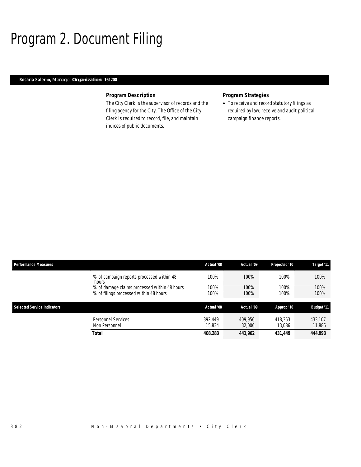# Program 2. Document Filing

### *Rosaria Salerno, Manager Organization: 161200*

### *Program Description*

The City Clerk is the supervisor of records and the filing agency for the City. The Office of the City Clerk is required to record, file, and maintain indices of public documents.

### *Program Strategies*

• To receive and record statutory filings as required by law; receive and audit political campaign finance reports.

| <b>Performance Measures</b>        |                                                                                        | Actual '08        | Actual '09        | Projected '10     | Target '11        |
|------------------------------------|----------------------------------------------------------------------------------------|-------------------|-------------------|-------------------|-------------------|
|                                    | % of campaign reports processed within 48<br>hours                                     | 100%              | 100%              | 100%              | 100%              |
|                                    | % of damage claims processed within 48 hours<br>% of filings processed within 48 hours | 100%<br>100%      | 100%<br>100%      | 100%<br>100%      | 100%<br>100%      |
| <b>Selected Service Indicators</b> |                                                                                        | Actual '08        | Actual '09        | Approp '10        | <b>Budget '11</b> |
|                                    | Personnel Services<br>Non Personnel                                                    | 392.449<br>15,834 | 409.956<br>32,006 | 418,363<br>13.086 | 433.107<br>11,886 |
|                                    |                                                                                        |                   |                   |                   |                   |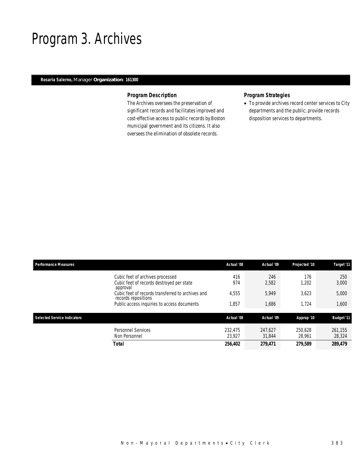### Program 3. Archives

### *Rosaria Salerno, Manager Organization: 161300*

### *Program Description*

The Archives oversees the preservation of significant records and facilitates improved and cost-effective access to public records by Boston municipal government and its citizens. It also oversees the elimination of obsolete records.

### *Program Strategies*

• To provide archives record center services to City departments and the public; provide records disposition services to departments.

| <b>Performance Measures</b>        |                                                                                           | Actual '08        | Actual '09        | Projected '10     | Target '11        |
|------------------------------------|-------------------------------------------------------------------------------------------|-------------------|-------------------|-------------------|-------------------|
|                                    | Cubic feet of archives processed<br>Cubic feet of records destroyed per state<br>approval | 416<br>974        | 246<br>2,582      | 176<br>1.202      | 250<br>3,000      |
|                                    | Cubic feet of records transferred to archives and<br>records repositions                  | 4,555             | 5.949             | 3.623             | 5,000             |
|                                    | Public access inquiries to access documents                                               | 1,857             | 1,686             | 1.724             | 1,600             |
| <b>Selected Service Indicators</b> |                                                                                           | Actual '08        | Actual '09        | Approp '10        | <b>Budget '11</b> |
|                                    | <b>Personnel Services</b><br>Non Personnel                                                | 232.475<br>23.927 | 247.627<br>31.844 | 250.628<br>28.961 | 261.155<br>28,324 |
|                                    | <b>Total</b>                                                                              | 256,402           | 279,471           | 279.589           | 289,479           |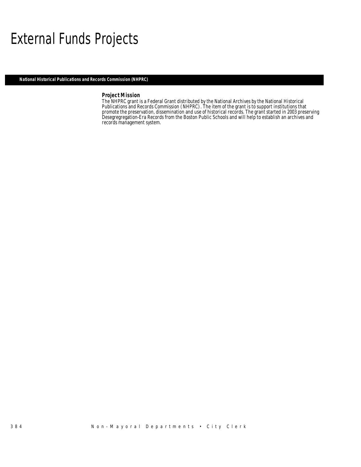### External Funds Projects

*National Historical Publications and Records Commission (NHPRC)* 

#### *Project Mission*

The NHPRC grant is a Federal Grant distributed by the National Archives by the National Historical Publications and Records Commission (NHPRC). The item of the grant is to support institutions that promote the preservation, dissemination and use of historical records. The grant started in 2003 preserving Desegregregation-Era Records from the Boston Public Schools and will help to establish an archives and records management system.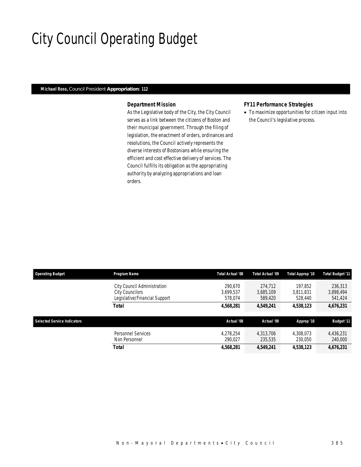## City Council Operating Budget

### *Michael Ross, Council President Appropriation: 112*

### *Department Mission*

As the Legislative body of the City, the City Council serves as a link between the citizens of Boston and their municipal government. Through the filing of legislation, the enactment of orders, ordinances and resolutions, the Council actively represents the diverse interests of Bostonians while ensuring the efficient and cost effective delivery of services. The Council fulfills its obligation as the appropriating authority by analyzing appropriations and loan orders.

#### *FY11 Performance Strategies*

• To maximize opportunities for citizen input into the Council's legislative process.

| <b>Operating Budget</b>            | Program Name                                                                    | Total Actual '08                | Total Actual '09                | Total Approp '10                | <b>Total Budget '11</b>         |
|------------------------------------|---------------------------------------------------------------------------------|---------------------------------|---------------------------------|---------------------------------|---------------------------------|
|                                    | City Council Administration<br>City Councilors<br>Legislative/Financial Support | 290.670<br>3.699.537<br>578.074 | 274,712<br>3,685,109<br>589,420 | 197.852<br>3,811,831<br>528,440 | 236,313<br>3,898,494<br>541,424 |
|                                    | <b>Total</b>                                                                    | 4,568,281                       | 4,549,241                       | 4,538,123                       | 4,676,231                       |
| <b>Selected Service Indicators</b> |                                                                                 | Actual '08                      | Actual '09                      | Approp '10                      | <b>Budget '11</b>               |
|                                    | <b>Personnel Services</b><br>Non Personnel                                      | 4.278.254<br>290.027            | 4,313,706<br>235,535            | 4,308,073<br>230,050            | 4,436,231<br>240,000            |
|                                    | Total                                                                           | 4,568,281                       | 4,549,241                       | 4,538,123                       | 4,676,231                       |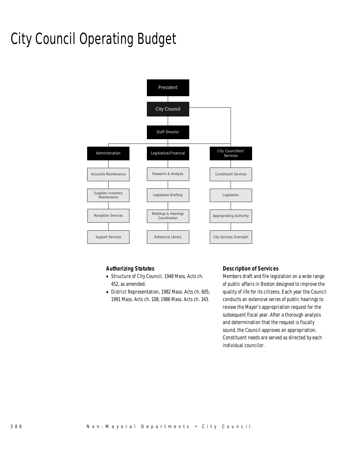# City Council Operating Budget



### *Authorizing Statutes*

- Structure of City Council, 1948 Mass. Acts ch. 452, as amended.
- District Representation, 1982 Mass. Acts ch. 605; 1991 Mass. Acts ch. 108; 1986 Mass. Acts ch. 343.

#### *Description of Services*

Members draft and file legislation on a wide range of public affairs in Boston designed to improve the quality of life for its citizens. Each year the Council conducts an extensive series of public hearings to review the Mayor's appropriation request for the subsequent fiscal year. After a thorough analysis and determination that the request is fiscally sound, the Council approves an appropriation. Constituent needs are served as directed by each individual councilor.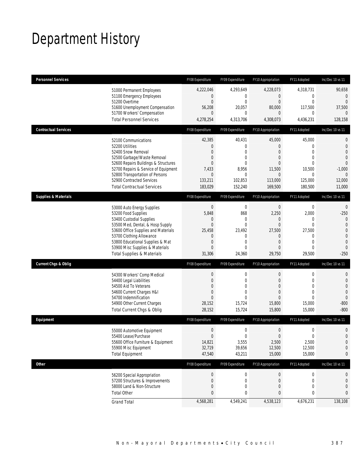# Department History

| <b>Personnel Services</b>       |                                                                                                                                                                                                                                                                                                      | FY08 Expenditure                                                                                                         | FY09 Expenditure                                                                                           | FY10 Appropriation                                                                                                      | FY11 Adopted                                                                                                               | Inc/Dec 10 vs 11                                                                                                                    |
|---------------------------------|------------------------------------------------------------------------------------------------------------------------------------------------------------------------------------------------------------------------------------------------------------------------------------------------------|--------------------------------------------------------------------------------------------------------------------------|------------------------------------------------------------------------------------------------------------|-------------------------------------------------------------------------------------------------------------------------|----------------------------------------------------------------------------------------------------------------------------|-------------------------------------------------------------------------------------------------------------------------------------|
|                                 | 51000 Permanent Employees<br>51100 Emergency Employees<br>51200 Overtime                                                                                                                                                                                                                             | 4,222,046<br>$\mathbf 0$<br>$\mathbf 0$                                                                                  | 4,293,649<br>$\mathbf{0}$<br>$\overline{0}$                                                                | 4,228,073<br>$\mathbf 0$<br>$\overline{0}$                                                                              | 4,318,731<br>$\boldsymbol{0}$<br>$\mathbf 0$                                                                               | 90,658<br>$\mathbf{0}$<br>$\Omega$                                                                                                  |
|                                 | 51600 Unemployment Compensation<br>51700 Workers' Compensation                                                                                                                                                                                                                                       | 56,208<br>$\overline{0}$                                                                                                 | 20,057<br>0                                                                                                | 80,000<br>$\mathbf 0$                                                                                                   | 117,500<br>$\mathbf{0}$                                                                                                    | 37,500<br>$\Omega$                                                                                                                  |
|                                 | <b>Total Personnel Services</b>                                                                                                                                                                                                                                                                      | 4,278,254                                                                                                                | 4,313,706                                                                                                  | 4,308,073                                                                                                               | 4,436,231                                                                                                                  | 128,158                                                                                                                             |
| <b>Contractual Services</b>     |                                                                                                                                                                                                                                                                                                      | FY08 Expenditure                                                                                                         | FY09 Expenditure                                                                                           | FY10 Appropriation                                                                                                      | FY11 Adopted                                                                                                               | Inc/Dec 10 vs 11                                                                                                                    |
|                                 | 52100 Communications<br>52200 Utilities<br>52400 Snow Removal<br>52500 Garbage/Waste Removal<br>52600 Repairs Buildings & Structures<br>52700 Repairs & Service of Equipment<br>52800 Transportation of Persons<br>52900 Contracted Services<br><b>Total Contractual Services</b>                    | 42,385<br>$\theta$<br>$\overline{0}$<br>$\mathbf 0$<br>$\overline{0}$<br>7,433<br>$\theta$<br>133,211<br>183,029         | 40,431<br>0<br>$\mathbf 0$<br>$\mathbf 0$<br>$\overline{0}$<br>8,956<br>$\mathbf{0}$<br>102,853<br>152,240 | 45,000<br>$\mathbf 0$<br>$\overline{0}$<br>0<br>0<br>11,500<br>$\theta$<br>113,000<br>169,500                           | 45,000<br>$\mathbf{0}$<br>$\mathbf{0}$<br>$\mathbf{0}$<br>$\Omega$<br>10,500<br>$\mathbf 0$<br>125,000<br>180,500          | $\mathbf 0$<br>$\mathbf 0$<br>$\overline{0}$<br>$\overline{0}$<br>$\overline{0}$<br>$-1,000$<br>$\mathbf{0}$<br>12,000<br>11,000    |
| <b>Supplies &amp; Materials</b> |                                                                                                                                                                                                                                                                                                      | FY08 Expenditure                                                                                                         | FY09 Expenditure                                                                                           | FY10 Appropriation                                                                                                      | FY11 Adopted                                                                                                               | Inc/Dec 10 vs 11                                                                                                                    |
|                                 | 53000 Auto Energy Supplies<br>53200 Food Supplies<br>53400 Custodial Supplies<br>53500 Med, Dental, & Hosp Supply<br>53600 Office Supplies and Materials<br>53700 Clothing Allowance<br>53800 Educational Supplies & Mat<br>53900 Misc Supplies & Materials<br><b>Total Supplies &amp; Materials</b> | $\boldsymbol{0}$<br>5,848<br>0<br>$\boldsymbol{0}$<br>25,458<br>$\theta$<br>$\boldsymbol{0}$<br>$\overline{0}$<br>31,306 | $\mathbf 0$<br>868<br>$\mathbf 0$<br>$\overline{0}$<br>23,492<br>0<br>$\mathbf 0$<br>$\Omega$<br>24,360    | $\boldsymbol{0}$<br>2,250<br>0<br>$\boldsymbol{0}$<br>27,500<br>$\mathbf 0$<br>$\mathbf{0}$<br>$\overline{0}$<br>29,750 | $\boldsymbol{0}$<br>2,000<br>$\mathbf 0$<br>$\mathbf 0$<br>27,500<br>$\mathbf 0$<br>$\mathbf{0}$<br>$\mathbf{0}$<br>29,500 | $\mathbf{0}$<br>$-250$<br>$\mathbf{0}$<br>$\overline{0}$<br>$\mathbf 0$<br>$\overline{0}$<br>$\mathbf{0}$<br>$\mathbf{0}$<br>$-250$ |
| <b>Current Chgs &amp; Oblig</b> |                                                                                                                                                                                                                                                                                                      | FY08 Expenditure                                                                                                         | FY09 Expenditure                                                                                           | FY10 Appropriation                                                                                                      | FY11 Adopted                                                                                                               | Inc/Dec 10 vs 11                                                                                                                    |
|                                 | 54300 Workers' Comp Medical<br>54400 Legal Liabilities<br>54500 Aid To Veterans<br>54600 Current Charges H&I<br>54700 Indemnification<br>54900 Other Current Charges<br>Total Current Chgs & Oblig                                                                                                   | $\boldsymbol{0}$<br>$\boldsymbol{0}$<br>$\overline{0}$<br>$\mathbf 0$<br>$\overline{0}$<br>28,152<br>28,152              | $\mathbf 0$<br>$\mathbf 0$<br>$\mathbf 0$<br>$\mathbf{0}$<br>$\Omega$<br>15,724<br>15,724                  | $\boldsymbol{0}$<br>$\overline{0}$<br>0<br>$\overline{0}$<br>$\overline{0}$<br>15,800<br>15,800                         | $\boldsymbol{0}$<br>$\mathbf 0$<br>$\mathbf{0}$<br>$\mathbf{0}$<br>$\theta$<br>15,000<br>15,000                            | $\mathbf{0}$<br>$\mathbf 0$<br>$\overline{0}$<br>$\overline{0}$<br>$\mathbf 0$<br>$-800$<br>$-800$                                  |
| Equipment                       |                                                                                                                                                                                                                                                                                                      | FY08 Expenditure                                                                                                         | FY09 Expenditure                                                                                           | FY10 Appropriation                                                                                                      | FY11 Adopted                                                                                                               | Inc/Dec 10 vs 11                                                                                                                    |
|                                 | 55000 Automotive Equipment<br>55400 Lease/Purchase<br>55600 Office Furniture & Equipment<br>55900 Misc Equipment<br><b>Total Equipment</b>                                                                                                                                                           | $\mathbf 0$<br>$\overline{0}$<br>14,821<br>32,719<br>47,540                                                              | $\mathbf 0$<br>0<br>3,555<br>39,656<br>43,211                                                              | $\boldsymbol{0}$<br>$\overline{0}$<br>2,500<br>12,500<br>15,000                                                         | $\boldsymbol{0}$<br>$\mathbf 0$<br>2,500<br>12,500<br>15,000                                                               | $\mathbf 0$<br>$\overline{0}$<br>$\mathbf 0$<br>$\mathbf 0$<br>0                                                                    |
| <b>Other</b>                    |                                                                                                                                                                                                                                                                                                      | FY08 Expenditure                                                                                                         | FY09 Expenditure                                                                                           | FY10 Appropriation                                                                                                      | FY11 Adopted                                                                                                               | Inc/Dec 10 vs 11                                                                                                                    |
|                                 | 56200 Special Appropriation<br>57200 Structures & Improvements<br>58000 Land & Non-Structure<br><b>Total Other</b>                                                                                                                                                                                   | $\boldsymbol{0}$<br>$\boldsymbol{0}$<br>$\boldsymbol{0}$<br>$\pmb{0}$                                                    | 0<br>0<br>0<br>0                                                                                           | $\boldsymbol{0}$<br>$\mathbf 0$<br>$\mathbf 0$<br>0                                                                     | 0<br>$\boldsymbol{0}$<br>$\mathbf 0$<br>0                                                                                  | 0<br>0<br>0<br>0                                                                                                                    |
|                                 | <b>Grand Total</b>                                                                                                                                                                                                                                                                                   | 4,568,281                                                                                                                | 4,549,241                                                                                                  | 4,538,123                                                                                                               | 4,676,231                                                                                                                  | 138,108                                                                                                                             |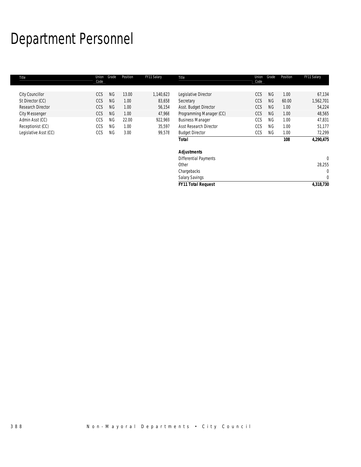# Department Personnel

| Title                  | Union<br>Code | Grade     | Position | FY11 Salary | Title                         | Union<br>Code | Grade     | Position | FY11 Salary  |
|------------------------|---------------|-----------|----------|-------------|-------------------------------|---------------|-----------|----------|--------------|
|                        |               |           |          |             |                               |               |           |          |              |
| <b>City Councillor</b> | CCS           | <b>NG</b> | 13.00    | 1,140,623   | Legislative Director          | CCS           | <b>NG</b> | 1.00     | 67,134       |
| St Director (CC)       | CCS           | <b>NG</b> | 1.00     | 83,658      | Secretary                     | <b>CCS</b>    | <b>NG</b> | 60.00    | 1,562,701    |
| Research Director      | CCS           | <b>NG</b> | 1.00     | 56,154      | Asst. Budget Director         | CCS           | <b>NG</b> | 1.00     | 54,224       |
| <b>City Messenger</b>  | <b>CCS</b>    | <b>NG</b> | 1.00     | 47,966      | Programming Manager (CC)      | <b>CCS</b>    | <b>NG</b> | 1.00     | 48,565       |
| Admin Asst (CC)        | CCS           | <b>NG</b> | 22.00    | 922,969     | <b>Business Manager</b>       | CCS           | <b>NG</b> | 1.00     | 47,831       |
| Receptionist (CC)      | CCS           | <b>NG</b> | 1.00     | 35,597      | <b>Asst Research Director</b> | <b>CCS</b>    | <b>NG</b> | 1.00     | 51,177       |
| Legislative Asst (CC)  | CCS           | <b>NG</b> | 3.00     | 99,578      | <b>Budget Director</b>        | <b>CCS</b>    | NG.       | 1.00     | 72,299       |
|                        |               |           |          |             | <b>Total</b>                  |               |           | 108      | 4,290,475    |
|                        |               |           |          |             | <b>Adjustments</b>            |               |           |          |              |
|                        |               |           |          |             | Differential Payments         |               |           |          | $\mathbf{0}$ |
|                        |               |           |          |             | Other                         |               |           |          | 28,255       |
|                        |               |           |          |             | Chargebacks                   |               |           |          | $\Omega$     |
|                        |               |           |          |             | <b>Salary Savings</b>         |               |           |          | 0            |
|                        |               |           |          |             | <b>FY11 Total Request</b>     |               |           |          | 4,318,730    |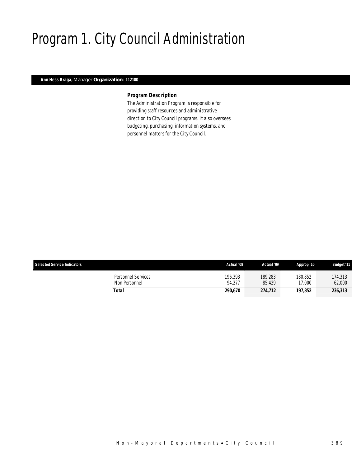# Program 1. City Council Administration

### *Ann Hess Braga, Manager Organization: 112100*

### *Program Description*

The Administration Program is responsible for providing staff resources and administrative direction to City Council programs. It also oversees budgeting, purchasing, information systems, and personnel matters for the City Council.

| <b>Selected Service Indicators</b>  | Actual '08        | Actual '09        | Approp '10        | <b>Budget '11</b> |
|-------------------------------------|-------------------|-------------------|-------------------|-------------------|
| Personnel Services<br>Non Personnel | 196.393<br>94.277 | 189,283<br>85.429 | 180.852<br>17.000 | 174,313<br>62,000 |
| Total                               | 290,670           | 274,712           | 197.852           | 236,313           |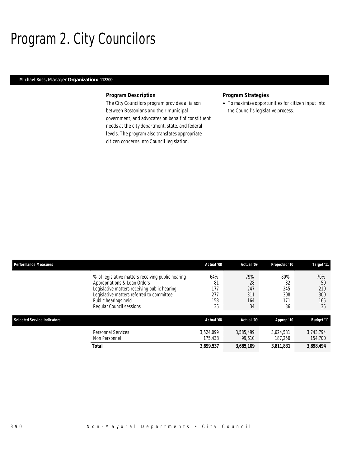# Program 2. City Councilors

### *Michael Ross, Manager Organization: 112200*

### *Program Description*

The City Councilors program provides a liaison between Bostonians and their municipal government, and advocates on behalf of constituent needs at the city department, state, and federal levels. The program also translates appropriate citizen concerns into Council legislation.

### *Program Strategies*

• To maximize opportunities for citizen input into the Council's legislative process.

| <b>Performance Measures</b>        |                                                   | Actual '08 | Actual '09 | Projected '10 | Target '11        |
|------------------------------------|---------------------------------------------------|------------|------------|---------------|-------------------|
|                                    | % of legislative matters receiving public hearing | 64%        | 79%        | 80%           | 70%               |
|                                    | Appropriations & Loan Orders                      | 81         | 28         | 32            | 50                |
|                                    | Legislative matters receiving public hearing      | 177        | 247        | 245           | 210               |
|                                    | Legislative matters referred to committee         | 277        | 311        | 308           | 300               |
|                                    | Public hearings held                              | 158        | 164        | 171           | 165               |
|                                    | Regular Council sessions                          | 35         | 34         | 36            | 35                |
| <b>Selected Service Indicators</b> |                                                   | Actual '08 | Actual '09 | Approp '10    | <b>Budget '11</b> |
|                                    | <b>Personnel Services</b>                         | 3.524.099  | 3,585,499  | 3.624.581     | 3.743.794         |
|                                    | Non Personnel                                     | 175,438    | 99.610     | 187.250       | 154,700           |
|                                    | <b>Total</b>                                      | 3,699,537  | 3,685,109  | 3,811,831     | 3,898,494         |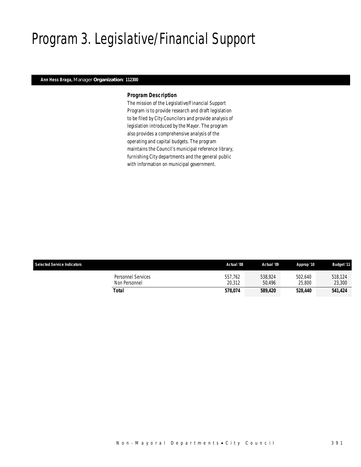# Program 3. Legislative/Financial Support

### *Ann Hess Braga, Manager Organization: 112300*

#### *Program Description*

The mission of the Legislative/Financial Support Program is to provide research and draft legislation to be filed by City Councilors and provide analysis of legislation introduced by the Mayor. The program also provides a comprehensive analysis of the operating and capital budgets. The program maintains the Council's municipal reference library, furnishing City departments and the general public with information on municipal government.

| <b>Selected Service Indicators</b>  | Actual '08        | Actual '09        | Approp '10        | <b>Budget '11</b> |
|-------------------------------------|-------------------|-------------------|-------------------|-------------------|
| Personnel Services<br>Non Personnel | 557.762<br>20.312 | 538.924<br>50.496 | 502.640<br>25,800 | 518.124<br>23,300 |
| Total                               | 578.074           | 589,420           | 528,440           | 541,424           |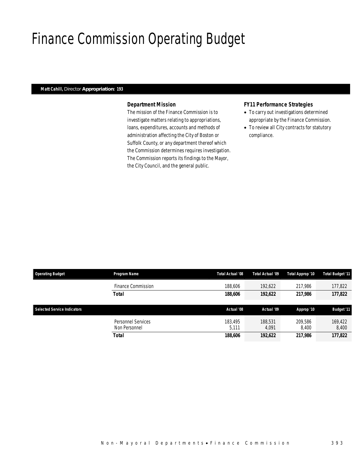## Finance Commission Operating Budget

### *Matt Cahill, Director Appropriation: 193*

### *Department Mission*

The mission of the Finance Commission is to investigate matters relating to appropriations, loans, expenditures, accounts and methods of administration affecting the City of Boston or Suffolk County, or any department thereof which the Commission determines requires investigation. The Commission reports its findings to the Mayor, the City Council, and the general public.

#### *FY11 Performance Strategies*

- To carry out investigations determined appropriate by the Finance Commission.
- To review all City contracts for statutory compliance.

| <b>Operating Budget</b>            | Program Name       | Total Actual '08 | Total Actual '09 | Total Approp '10 | <b>Total Budget '11</b> |
|------------------------------------|--------------------|------------------|------------------|------------------|-------------------------|
|                                    | Finance Commission | 188.606          | 192.622          | 217.986          | 177,822                 |
|                                    | <b>Total</b>       | 188,606          | 192,622          | 217,986          | 177,822                 |
| <b>Selected Service Indicators</b> |                    | Actual '08       | Actual '09       |                  | <b>Budget '11</b>       |
|                                    |                    |                  |                  | Approp '10       |                         |
|                                    | Personnel Services | 183,495          | 188,531          | 209.586          | 169.422                 |
|                                    | Non Personnel      | 5,111            | 4.091            | 8.400            | 8,400                   |
|                                    | <b>Total</b>       | 188,606          | 192,622          | 217,986          | 177,822                 |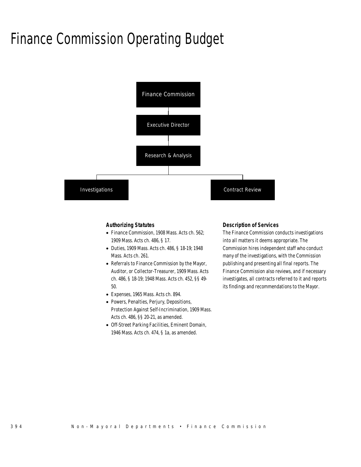### Finance Commission Operating Budget



#### *Authorizing Statutes*

- Finance Commission, 1908 Mass. Acts ch. 562; 1909 Mass. Acts ch. 486, § 17.
- Duties, 1909 Mass. Acts ch. 486, § 18-19; 1948 Mass. Acts ch. 261.
- Referrals to Finance Commission by the Mayor, Auditor, or Collector-Treasurer, 1909 Mass. Acts ch. 486, § 18-19; 1948 Mass. Acts ch. 452, §§ 49- 50.
- Expenses, 1965 Mass. Acts ch. 894.
- Powers, Penalties, Perjury, Depositions, Protection Against Self-Incrimination, 1909 Mass. Acts ch. 486, §§ 20-21, as amended.
- Off-Street Parking Facilities, Eminent Domain, 1946 Mass. Acts ch. 474, § 1a, as amended.

#### *Description of Services*

The Finance Commission conducts investigations into all matters it deems appropriate. The Commission hires independent staff who conduct many of the investigations, with the Commission publishing and presenting all final reports. The Finance Commission also reviews, and if necessary investigates, all contracts referred to it and reports its findings and recommendations to the Mayor.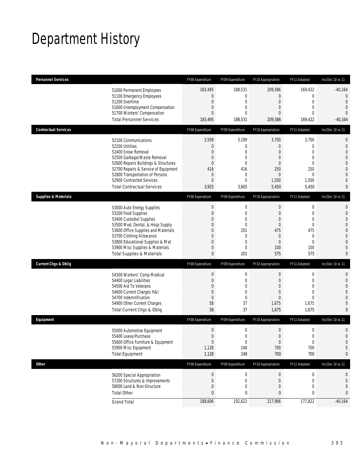## Department History

| <b>Personnel Services</b>                                                                                                                                                                                                                                                                            | FY08 Expenditure                                                                                                    | FY09 Expenditure                                                                                                | FY10 Appropriation                                                                                                   | FY11 Adopted                                                                                                   | Inc/Dec 10 vs 11                                                                                                                                    |
|------------------------------------------------------------------------------------------------------------------------------------------------------------------------------------------------------------------------------------------------------------------------------------------------------|---------------------------------------------------------------------------------------------------------------------|-----------------------------------------------------------------------------------------------------------------|----------------------------------------------------------------------------------------------------------------------|----------------------------------------------------------------------------------------------------------------|-----------------------------------------------------------------------------------------------------------------------------------------------------|
| 51000 Permanent Employees<br>51100 Emergency Employees<br>51200 Overtime<br>51600 Unemployment Compensation<br>51700 Workers' Compensation<br><b>Total Personnel Services</b>                                                                                                                        | 183,495<br>0<br>$\mathbf 0$<br>$\overline{0}$<br>$\overline{0}$<br>183,495                                          | 188,531<br>$\mathbf 0$<br>$\boldsymbol{0}$<br>0<br>$\theta$<br>188,531                                          | 209,586<br>$\overline{0}$<br>$\boldsymbol{0}$<br>$\mathbf{0}$<br>$\mathbf{0}$<br>209,586                             | 169.422<br>$\mathbf{0}$<br>$\mathbf 0$<br>$\mathbf{0}$<br>$\mathbf{0}$<br>169,422                              | $-40,164$<br>$\overline{0}$<br>$\mathbf{0}$<br>$\overline{0}$<br>$\Omega$<br>$-40,164$                                                              |
| <b>Contractual Services</b>                                                                                                                                                                                                                                                                          | FY08 Expenditure                                                                                                    | FY09 Expenditure                                                                                                | FY10 Appropriation                                                                                                   | FY11 Adopted                                                                                                   | Inc/Dec 10 vs 11                                                                                                                                    |
| 52100 Communications<br>52200 Utilities<br>52400 Snow Removal<br>52500 Garbage/Waste Removal<br>52600 Repairs Buildings & Structures<br>52700 Repairs & Service of Equipment<br>52800 Transportation of Persons<br>52900 Contracted Services<br><b>Total Contractual Services</b>                    | 3,509<br>0<br>$\overline{0}$<br>$\mathbf 0$<br>$\overline{0}$<br>416<br>$\mathbf{0}$<br>$\overline{0}$<br>3,925     | 3,189<br>$\boldsymbol{0}$<br>$\mathbf{0}$<br>$\mathbf 0$<br>0<br>416<br>0<br>$\mathbf{0}$<br>3,605              | 3,700<br>$\boldsymbol{0}$<br>$\mathbf{0}$<br>$\mathbf{0}$<br>$\mathbf{0}$<br>250<br>$\mathbf{0}$<br>1,500<br>5,450   | 3,700<br>$\mathbf{0}$<br>$\mathbf{0}$<br>$\mathbf{0}$<br>$\mathbf{0}$<br>250<br>$\mathbf{0}$<br>1,500<br>5,450 | $\mathbf 0$<br>$\mathbf 0$<br>$\mathbf{0}$<br>$\mathbf{0}$<br>$\mathbf 0$<br>$\mathbf{0}$<br>$\mathbf{0}$<br>$\mathbf{0}$<br>0                      |
| <b>Supplies &amp; Materials</b>                                                                                                                                                                                                                                                                      | FY08 Expenditure                                                                                                    | FY09 Expenditure                                                                                                | FY10 Appropriation                                                                                                   | FY11 Adopted                                                                                                   | Inc/Dec 10 vs 11                                                                                                                                    |
| 53000 Auto Energy Supplies<br>53200 Food Supplies<br>53400 Custodial Supplies<br>53500 Med, Dental, & Hosp Supply<br>53600 Office Supplies and Materials<br>53700 Clothing Allowance<br>53800 Educational Supplies & Mat<br>53900 Misc Supplies & Materials<br><b>Total Supplies &amp; Materials</b> | $\boldsymbol{0}$<br>$\mathbf 0$<br>$\overline{0}$<br>$\overline{0}$<br>0<br>$\overline{0}$<br>0<br>$\mathbf 0$<br>0 | $\boldsymbol{0}$<br>$\boldsymbol{0}$<br>0<br>$\boldsymbol{0}$<br>201<br>0<br>$\mathbf 0$<br>$\mathbf{0}$<br>201 | $\boldsymbol{0}$<br>$\mathbf{0}$<br>$\mathbf{0}$<br>$\mathbf{0}$<br>475<br>$\mathbf 0$<br>$\mathbf{0}$<br>100<br>575 | $\mathbf 0$<br>$\mathbf 0$<br>$\mathbf{0}$<br>$\mathbf 0$<br>475<br>$\mathbf 0$<br>$\mathbf 0$<br>100<br>575   | $\mathbf{0}$<br>$\mathbf{0}$<br>$\overline{0}$<br>$\overline{0}$<br>$\mathbf 0$<br>$\overline{0}$<br>$\mathbf{0}$<br>$\overline{0}$<br>$\mathbf{0}$ |
| <b>Current Chgs &amp; Oblig</b>                                                                                                                                                                                                                                                                      | FY08 Expenditure                                                                                                    | FY09 Expenditure                                                                                                | FY10 Appropriation                                                                                                   | FY11 Adopted                                                                                                   | Inc/Dec 10 vs 11                                                                                                                                    |
| 54300 Workers' Comp Medical<br>54400 Legal Liabilities<br>54500 Aid To Veterans<br>54600 Current Charges H&I<br>54700 Indemnification<br>54900 Other Current Charges<br>Total Current Chgs & Oblig                                                                                                   | $\boldsymbol{0}$<br>$\mathbf 0$<br>$\overline{0}$<br>$\mathbf 0$<br>$\mathbf{0}$<br>58<br>58                        | $\boldsymbol{0}$<br>$\boldsymbol{0}$<br>0<br>$\boldsymbol{0}$<br>$\mathbf 0$<br>37<br>37                        | $\boldsymbol{0}$<br>$\mathbf{0}$<br>$\mathbf{0}$<br>$\mathbf{0}$<br>$\mathbf{0}$<br>1,675<br>1,675                   | $\boldsymbol{0}$<br>$\mathbf 0$<br>$\mathbf{0}$<br>$\mathbf{0}$<br>$\mathbf{0}$<br>1,675<br>1,675              | $\mathbf{0}$<br>$\mathbf{0}$<br>$\overline{0}$<br>$\overline{0}$<br>$\mathbf 0$<br>$\mathbf{0}$<br>$\overline{0}$                                   |
| Equipment                                                                                                                                                                                                                                                                                            | FY08 Expenditure                                                                                                    | FY09 Expenditure                                                                                                | FY10 Appropriation                                                                                                   | FY11 Adopted                                                                                                   | Inc/Dec 10 vs 11                                                                                                                                    |
| 55000 Automotive Equipment<br>55400 Lease/Purchase<br>55600 Office Furniture & Equipment<br>55900 Misc Equipment<br><b>Total Equipment</b>                                                                                                                                                           | $\boldsymbol{0}$<br>$\overline{0}$<br>$\boldsymbol{0}$<br>1,128<br>1,128                                            | $\boldsymbol{0}$<br>$\Omega$<br>$\boldsymbol{0}$<br>248<br>248                                                  | $\mathbf 0$<br>$\overline{0}$<br>$\boldsymbol{0}$<br>700<br>700                                                      | $\mathbf 0$<br>$\mathbf{0}$<br>$\boldsymbol{0}$<br>700<br>700                                                  | $\mathbf 0$<br>$\overline{0}$<br>$\mathbf 0$<br>$\mathbf 0$<br>0                                                                                    |
| <b>Other</b>                                                                                                                                                                                                                                                                                         | FY08 Expenditure                                                                                                    | FY09 Expenditure                                                                                                | FY10 Appropriation                                                                                                   | FY11 Adopted                                                                                                   | Inc/Dec 10 vs 11                                                                                                                                    |
| 56200 Special Appropriation<br>57200 Structures & Improvements<br>58000 Land & Non-Structure<br><b>Total Other</b>                                                                                                                                                                                   | $\boldsymbol{0}$<br>0<br>$\mathbf 0$<br>0                                                                           | $\pmb{0}$<br>0<br>0<br>0                                                                                        | $\boldsymbol{0}$<br>0<br>0<br>0                                                                                      | $\boldsymbol{0}$<br>$\boldsymbol{0}$<br>$\mathbf 0$<br>0                                                       | 0<br>$\mathbf 0$<br>$\mathbf 0$<br>0                                                                                                                |
| <b>Grand Total</b>                                                                                                                                                                                                                                                                                   | 188,606                                                                                                             | 192,622                                                                                                         | 217,986                                                                                                              | 177,822                                                                                                        | $-40,164$                                                                                                                                           |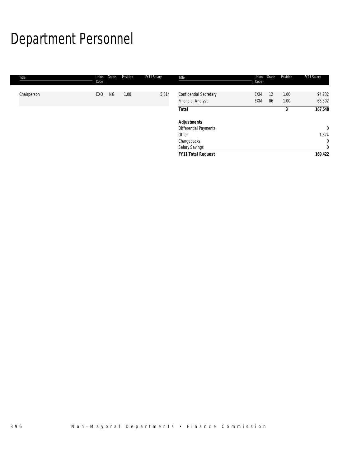# Department Personnel

| Title       | Union<br>Code | Position<br>Grade | FY11 Salary | Title                                              | Union<br>Code | Grade    | Position     | FY11 Salary      |
|-------------|---------------|-------------------|-------------|----------------------------------------------------|---------------|----------|--------------|------------------|
| Chairperson | EXO           | <b>NG</b><br>1.00 | 5,014       | Confidential Secretary<br><b>Financial Analyst</b> | EXM<br>EXM    | 12<br>06 | 1.00<br>1.00 | 94,232<br>68,302 |
|             |               |                   |             | <b>Total</b>                                       |               |          | 3            | 167,548          |
|             |               |                   |             | <b>Adjustments</b>                                 |               |          |              |                  |
|             |               |                   |             | <b>Differential Payments</b>                       |               |          |              | $\mathbf 0$      |
|             |               |                   |             | Other                                              |               |          |              | 1,874            |
|             |               |                   |             | Chargebacks                                        |               |          |              | $\overline{0}$   |
|             |               |                   |             | Salary Savings                                     |               |          |              | $\mathbf 0$      |
|             |               |                   |             | <b>FY11 Total Request</b>                          |               |          |              | 169,422          |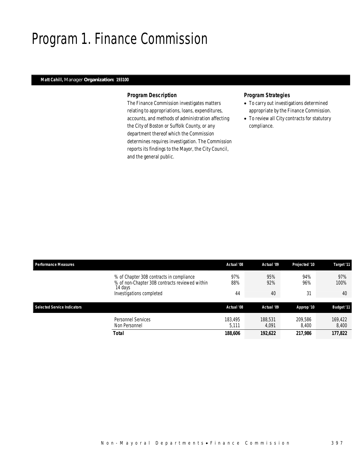### Program 1. Finance Commission

### *Matt Cahill, Manager Organization: 193100*

#### *Program Description*

The Finance Commission investigates matters relating to appropriations, loans, expenditures, accounts, and methods of administration affecting the City of Boston or Suffolk County, or any department thereof which the Commission determines requires investigation. The Commission reports its findings to the Mayor, the City Council, and the general public.

### *Program Strategies*

- To carry out investigations determined appropriate by the Finance Commission.
- To review all City contracts for statutory compliance.

| <b>Performance Measures</b>        |                                                                                                                                   | Actual '08       | Actual '09       | Projected '10    | Target '11        |
|------------------------------------|-----------------------------------------------------------------------------------------------------------------------------------|------------------|------------------|------------------|-------------------|
|                                    | % of Chapter 30B contracts in compliance<br>% of non-Chapter 30B contracts reviewed within<br>14 days<br>Investigations completed | 97%<br>88%<br>44 | 95%<br>92%<br>40 | 94%<br>96%<br>31 | 97%<br>100%<br>40 |
| <b>Selected Service Indicators</b> |                                                                                                                                   | Actual '08       | Actual '09       | Approp '10       | <b>Budget '11</b> |
|                                    | Personnel Services<br>Non Personnel                                                                                               | 183.495<br>5,111 | 188,531<br>4.091 | 209.586<br>8.400 | 169,422<br>8,400  |
|                                    | Total                                                                                                                             | 188,606          | 192,622          | 217,986          | 177,822           |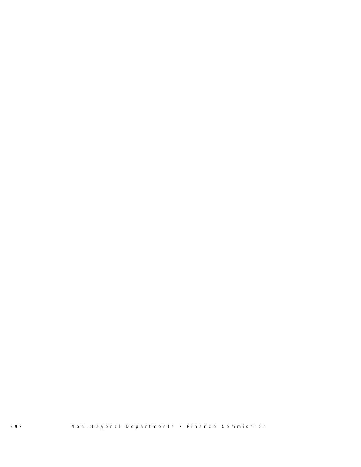3 9 8 Non - Mayoral Departments • Finance Commission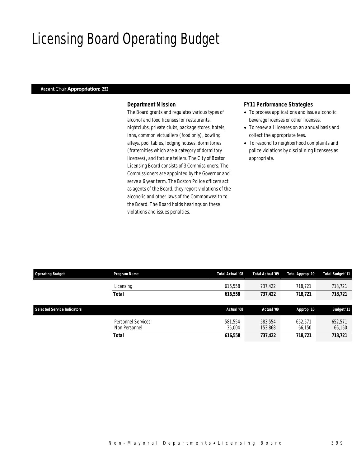### Licensing Board Operating Budget

#### *Vacant,Chair Appropriation: 252*

#### *Department Mission*

The Board grants and regulates various types of alcohol and food licenses for restaurants, nightclubs, private clubs, package stores, hotels, inns, common victuallers (food only), bowling alleys, pool tables, lodging houses, dormitories (fraternities which are a category of dormitory licenses), and fortune tellers. The City of Boston Licensing Board consists of 3 Commissioners. The Commissioners are appointed by the Governor and serve a 6 year term. The Boston Police officers act as agents of the Board, they report violations of the alcoholic and other laws of the Commonwealth to the Board. The Board holds hearings on these violations and issues penalties.

#### *FY11 Performance Strategies*

- To process applications and issue alcoholic beverage licenses or other licenses.
- To renew all licenses on an annual basis and collect the appropriate fees.
- To respond to neighborhood complaints and police violations by disciplining licensees as appropriate.

| <b>Operating Budget</b>            | Program Name       | Total Actual '08 | Total Actual '09 | Total Approp '10 | <b>Total Budget '11</b> |
|------------------------------------|--------------------|------------------|------------------|------------------|-------------------------|
|                                    | Licensing          | 616.558          | 737.422          | 718.721          | 718,721                 |
|                                    | <b>Total</b>       | 616,558          | 737,422          | 718,721          | 718,721                 |
|                                    |                    |                  |                  |                  |                         |
|                                    |                    |                  |                  |                  |                         |
| <b>Selected Service Indicators</b> |                    | Actual '08       | Actual '09       | Approp '10       | <b>Budget '11</b>       |
|                                    | Personnel Services | 581.554          | 583.554          | 652.571          | 652.571                 |
|                                    | Non Personnel      | 35,004           | 153,868          | 66,150           | 66,150                  |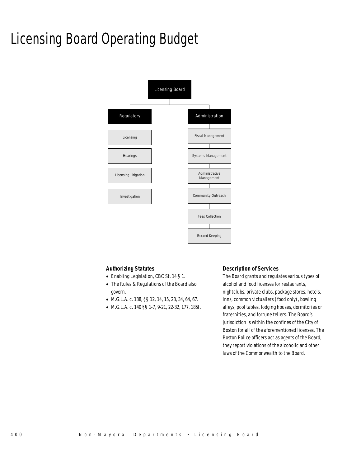# Licensing Board Operating Budget



#### *Authorizing Statutes*

- Enabling Legislation, CBC St. 14 § 1.
- The Rules & Regulations of the Board also govern.
- M.G.L.A. c. 138, §§ 12, 14, 15, 23, 34, 64, 67.
- M.G.L.A. c. 140 §§ 1-7, 9-21, 22-32, 177, 185I.

#### *Description of Services*

The Board grants and regulates various types of alcohol and food licenses for restaurants, nightclubs, private clubs, package stores, hotels, inns, common victuallers (food only), bowling alleys, pool tables, lodging houses, dormitories or fraternities, and fortune tellers. The Board's jurisdiction is within the confines of the City of Boston for all of the aforementioned licenses. The Boston Police officers act as agents of the Board, they report violations of the alcoholic and other laws of the Commonwealth to the Board.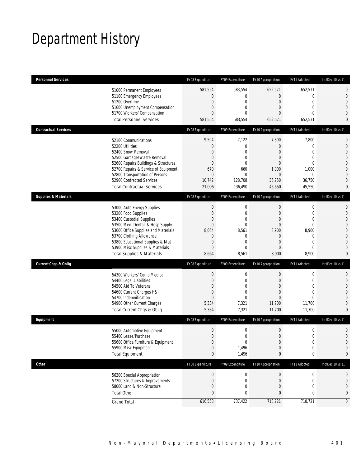## Department History

| <b>Personnel Services</b>       |                                                                                                                                                                                                                                                                                                      | FY08 Expenditure                                                                                  | FY09 Expenditure                                                                                            | FY10 Appropriation                                                                                | FY11 Adopted                                                                                                           | Inc/Dec 10 vs 11                                                                     |
|---------------------------------|------------------------------------------------------------------------------------------------------------------------------------------------------------------------------------------------------------------------------------------------------------------------------------------------------|---------------------------------------------------------------------------------------------------|-------------------------------------------------------------------------------------------------------------|---------------------------------------------------------------------------------------------------|------------------------------------------------------------------------------------------------------------------------|--------------------------------------------------------------------------------------|
|                                 | 51000 Permanent Employees<br>51100 Emergency Employees<br>51200 Overtime<br>51600 Unemployment Compensation<br>51700 Workers' Compensation<br><b>Total Personnel Services</b>                                                                                                                        | 581,554<br>0<br>0<br>0<br>0<br>581,554                                                            | 583,554<br>$\overline{0}$<br>0<br>$\overline{0}$<br>0<br>583,554                                            | 652,571<br>$\mathbf 0$<br>0<br>$\overline{0}$<br>0<br>652,571                                     | 652,571<br>$\mathbf{0}$<br>$\mathbf 0$<br>$\mathbf{0}$<br>$\Omega$<br>652,571                                          | 0<br>0<br>$\overline{0}$<br>0<br>0<br>0                                              |
| <b>Contractual Services</b>     |                                                                                                                                                                                                                                                                                                      | FY08 Expenditure                                                                                  | FY09 Expenditure                                                                                            | FY10 Appropriation                                                                                | FY11 Adopted                                                                                                           | Inc/Dec 10 vs 11                                                                     |
|                                 | 52100 Communications<br>52200 Utilities<br>52400 Snow Removal<br>52500 Garbage/Waste Removal<br>52600 Repairs Buildings & Structures<br>52700 Repairs & Service of Equipment<br>52800 Transportation of Persons<br>52900 Contracted Services<br><b>Total Contractual Services</b>                    | 9,594<br>$\theta$<br>0<br>0<br>$\mathbf 0$<br>670<br>$\theta$<br>10,742<br>21,006                 | 7,122<br>$\mathbf 0$<br>0<br>0<br>$\overline{0}$<br>660<br>$\mathbf{0}$<br>128,708<br>136,490               | 7,800<br>$\mathbf 0$<br>0<br>0<br>$\overline{0}$<br>1,000<br>$\boldsymbol{0}$<br>36,750<br>45,550 | 7,800<br>$\mathbf 0$<br>$\mathbf{0}$<br>$\mathbf 0$<br>$\mathbf{0}$<br>1,000<br>$\mathbf{0}$<br>36,750<br>45,550       | 0<br>$\mathbf 0$<br>$\overline{0}$<br>0<br>0<br>$\mathbf 0$<br>$\mathbf 0$<br>0<br>0 |
| <b>Supplies &amp; Materials</b> |                                                                                                                                                                                                                                                                                                      | FY08 Expenditure                                                                                  | FY09 Expenditure                                                                                            | FY10 Appropriation                                                                                | FY11 Adopted                                                                                                           | Inc/Dec 10 vs 11                                                                     |
|                                 | 53000 Auto Energy Supplies<br>53200 Food Supplies<br>53400 Custodial Supplies<br>53500 Med, Dental, & Hosp Supply<br>53600 Office Supplies and Materials<br>53700 Clothing Allowance<br>53800 Educational Supplies & Mat<br>53900 Misc Supplies & Materials<br><b>Total Supplies &amp; Materials</b> | $\boldsymbol{0}$<br>$\mathbf 0$<br>0<br>$\overline{0}$<br>8,664<br>0<br>$\mathbf 0$<br>0<br>8,664 | 0<br>$\mathbf 0$<br>0<br>$\overline{0}$<br>8,561<br>$\mathbf{0}$<br>$\overline{0}$<br>$\mathbf{0}$<br>8,561 | $\boldsymbol{0}$<br>$\mathbf 0$<br>0<br>0<br>8,900<br>0<br>$\mathbf 0$<br>0<br>8,900              | $\boldsymbol{0}$<br>$\mathbf 0$<br>$\mathbf{0}$<br>$\mathbf{0}$<br>8,900<br>0<br>$\mathbf{0}$<br>$\mathbf{0}$<br>8,900 | 0<br>$\mathbf 0$<br>$\overline{0}$<br>0<br>0<br>0<br>0<br>0<br>0                     |
| <b>Current Chgs &amp; Oblig</b> |                                                                                                                                                                                                                                                                                                      | FY08 Expenditure                                                                                  | FY09 Expenditure                                                                                            | FY10 Appropriation                                                                                | FY11 Adopted                                                                                                           | Inc/Dec 10 vs 11                                                                     |
|                                 | 54300 Workers' Comp Medical<br>54400 Legal Liabilities<br>54500 Aid To Veterans<br>54600 Current Charges H&I<br>54700 Indemnification<br>54900 Other Current Charges<br>Total Current Chgs & Oblig                                                                                                   | $\theta$<br>0<br>0<br>0<br>$\overline{0}$<br>5,334<br>5,334                                       | 0<br>$\mathbf 0$<br>0<br>$\mathbf{0}$<br>$\overline{0}$<br>7,321<br>7,321                                   | $\boldsymbol{0}$<br>0<br>0<br>0<br>$\overline{0}$<br>11,700<br>11,700                             | $\boldsymbol{0}$<br>$\mathbf 0$<br>$\mathbf{0}$<br>$\overline{0}$<br>$\Omega$<br>11,700<br>11,700                      | 0<br>$\mathbf 0$<br>$\overline{0}$<br>0<br>0<br>0<br>0                               |
| Equipment                       |                                                                                                                                                                                                                                                                                                      | FY08 Expenditure                                                                                  | FY09 Expenditure                                                                                            | FY10 Appropriation                                                                                | FY11 Adopted                                                                                                           | Inc/Dec 10 vs 11                                                                     |
|                                 | 55000 Automotive Equipment<br>55400 Lease/Purchase<br>55600 Office Furniture & Equipment<br>55900 Misc Equipment<br><b>Total Equipment</b>                                                                                                                                                           | $\boldsymbol{0}$<br>$\Omega$<br>$\boldsymbol{0}$<br>$\mathbf 0$<br>$\pmb{0}$                      | $\mathbf 0$<br>$\Omega$<br>$\mathbf 0$<br>1,496<br>1,496                                                    | 0<br>$\Omega$<br>$\boldsymbol{0}$<br>0<br>0                                                       | $\boldsymbol{0}$<br>$\boldsymbol{0}$<br>$\boldsymbol{0}$<br>$\mathbf 0$<br>$\pmb{0}$                                   | 0<br>0<br>0<br>0<br>0                                                                |
| Other                           |                                                                                                                                                                                                                                                                                                      | FY08 Expenditure                                                                                  | FY09 Expenditure                                                                                            | FY10 Appropriation                                                                                | FY11 Adopted                                                                                                           | Inc/Dec 10 vs 11                                                                     |
|                                 | 56200 Special Appropriation<br>57200 Structures & Improvements<br>58000 Land & Non-Structure<br><b>Total Other</b>                                                                                                                                                                                   | $\boldsymbol{0}$<br>$\boldsymbol{0}$<br>0<br>0                                                    | 0<br>$\boldsymbol{0}$<br>0<br>0                                                                             | $\boldsymbol{0}$<br>$\mathbf 0$<br>0<br>0                                                         | $\boldsymbol{0}$<br>$\boldsymbol{0}$<br>$\mathbf{0}$<br>$\pmb{0}$                                                      | 0<br>0<br>0<br>0                                                                     |
|                                 | <b>Grand Total</b>                                                                                                                                                                                                                                                                                   | 616,558                                                                                           | 737,422                                                                                                     | 718,721                                                                                           | 718,721                                                                                                                | $\mathbf 0$                                                                          |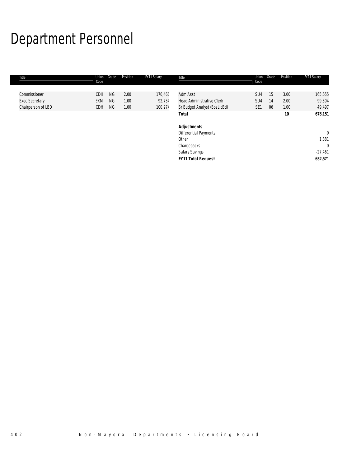# Department Personnel

| Title                 | Union<br>Code | Grade     | Position | FY11 Salary | Title                            | Union<br>Code   | Grade | Position | FY11 Salary  |
|-----------------------|---------------|-----------|----------|-------------|----------------------------------|-----------------|-------|----------|--------------|
|                       |               |           |          |             |                                  |                 |       |          |              |
| Commissioner          | CDH           | <b>NG</b> | 2.00     | 170,466     | Adm Asst                         | SU <sub>4</sub> | 15    | 3.00     | 165,655      |
| <b>Exec Secretary</b> | EXM           | <b>NG</b> | 1.00     | 92,754      | <b>Head Administrative Clerk</b> | SU <sub>4</sub> | 14    | 2.00     | 99,504       |
| Chairperson of LBD    | CDH           | <b>NG</b> | 1.00     | 100,274     | Sr Budget Analyst (BosLicBd)     | SE <sub>1</sub> | 06    | 1.00     | 49,497       |
|                       |               |           |          |             | <b>Total</b>                     |                 |       | 10       | 678,151      |
|                       |               |           |          |             | <b>Adjustments</b>               |                 |       |          |              |
|                       |               |           |          |             | Differential Payments            |                 |       |          | $\Omega$     |
|                       |               |           |          |             | Other                            |                 |       |          | 1,881        |
|                       |               |           |          |             | Chargebacks                      |                 |       |          | $\mathbf{0}$ |
|                       |               |           |          |             | Salary Savings                   |                 |       |          | $-27,461$    |
|                       |               |           |          |             | <b>FY11 Total Request</b>        |                 |       |          | 652,571      |